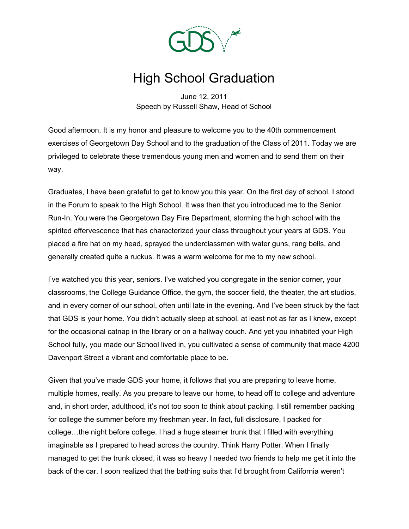

## High School Graduation

June 12, 2011 Speech by Russell Shaw, Head of School

Good afternoon. It is my honor and pleasure to welcome you to the 40th commencement exercises of Georgetown Day School and to the graduation of the Class of 2011. Today we are privileged to celebrate these tremendous young men and women and to send them on their way.

Graduates, I have been grateful to get to know you this year. On the first day of school, I stood in the Forum to speak to the High School. It was then that you introduced me to the Senior Run-In. You were the Georgetown Day Fire Department, storming the high school with the spirited effervescence that has characterized your class throughout your years at GDS. You placed a fire hat on my head, sprayed the underclassmen with water guns, rang bells, and generally created quite a ruckus. It was a warm welcome for me to my new school.

I've watched you this year, seniors. I've watched you congregate in the senior corner, your classrooms, the College Guidance Office, the gym, the soccer field, the theater, the art studios, and in every corner of our school, often until late in the evening. And I've been struck by the fact that GDS is your home. You didn't actually sleep at school, at least not as far as I knew, except for the occasional catnap in the library or on a hallway couch. And yet you inhabited your High School fully, you made our School lived in, you cultivated a sense of community that made 4200 Davenport Street a vibrant and comfortable place to be.

Given that you've made GDS your home, it follows that you are preparing to leave home, multiple homes, really. As you prepare to leave our home, to head off to college and adventure and, in short order, adulthood, it's not too soon to think about packing. I still remember packing for college the summer before my freshman year. In fact, full disclosure, I packed for college…the night before college. I had a huge steamer trunk that I filled with everything imaginable as I prepared to head across the country. Think Harry Potter. When I finally managed to get the trunk closed, it was so heavy I needed two friends to help me get it into the back of the car. I soon realized that the bathing suits that I'd brought from California weren't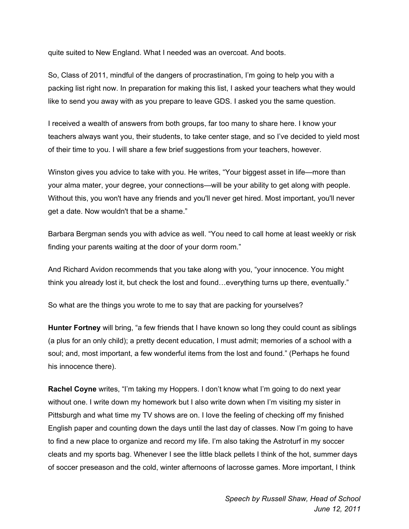quite suited to New England. What I needed was an overcoat. And boots.

So, Class of 2011, mindful of the dangers of procrastination, I'm going to help you with a packing list right now. In preparation for making this list, I asked your teachers what they would like to send you away with as you prepare to leave GDS. I asked you the same question.

I received a wealth of answers from both groups, far too many to share here. I know your teachers always want you, their students, to take center stage, and so I've decided to yield most of their time to you. I will share a few brief suggestions from your teachers, however.

Winston gives you advice to take with you. He writes, "Your biggest asset in life—more than your alma mater, your degree, your connections—will be your ability to get along with people. Without this, you won't have any friends and you'll never get hired. Most important, you'll never get a date. Now wouldn't that be a shame."

Barbara Bergman sends you with advice as well. "You need to call home at least weekly or risk finding your parents waiting at the door of your dorm room."

And Richard Avidon recommends that you take along with you, "your innocence. You might think you already lost it, but check the lost and found…everything turns up there, eventually."

So what are the things you wrote to me to say that are packing for yourselves?

**Hunter Fortney** will bring, "a few friends that I have known so long they could count as siblings (a plus for an only child); a pretty decent education, I must admit; memories of a school with a soul; and, most important, a few wonderful items from the lost and found." (Perhaps he found his innocence there).

**Rachel Coyne** writes, "I'm taking my Hoppers. I don't know what I'm going to do next year without one. I write down my homework but I also write down when I'm visiting my sister in Pittsburgh and what time my TV shows are on. I love the feeling of checking off my finished English paper and counting down the days until the last day of classes. Now I'm going to have to find a new place to organize and record my life. I'm also taking the Astroturf in my soccer cleats and my sports bag. Whenever I see the little black pellets I think of the hot, summer days of soccer preseason and the cold, winter afternoons of lacrosse games. More important, I think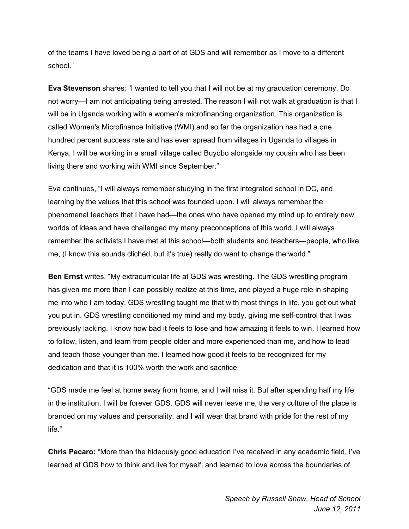of the teams I have loved being a part of at GDS and will remember as I move to a different school."

**Eva Stevenson** shares: "I wanted to tell you that I will not be at my graduation ceremony. Do not worry—I am not anticipating being arrested. The reason I will not walk at graduation is that I will be in Uganda working with a women's microfinancing organization. This organization is called Women's Microfinance Initiative (WMI) and so far the organization has had a one hundred percent success rate and has even spread from villages in Uganda to villages in Kenya. I will be working in a small village called Buyobo alongside my cousin who has been living there and working with WMI since September."

Eva continues, "I will always remember studying in the first integrated school in DC, and learning by the values that this school was founded upon. I will always remember the phenomenal teachers that I have had—the ones who have opened my mind up to entirely new worlds of ideas and have challenged my many preconceptions of this world. I will always remember the activists I have met at this school—both students and teachers—people, who like me, (I know this sounds clichéd, but it's true) really do want to change the world."

**Ben Ernst** writes, "My extracurricular life at GDS was wrestling. The GDS wrestling program has given me more than I can possibly realize at this time, and played a huge role in shaping me into who I am today. GDS wrestling taught me that with most things in life, you get out what you put in. GDS wrestling conditioned my mind and my body, giving me self-control that I was previously lacking. I know how bad it feels to lose and how amazing it feels to win. I learned how to follow, listen, and learn from people older and more experienced than me, and how to lead and teach those younger than me. I learned how good it feels to be recognized for my dedication and that it is 100% worth the work and sacrifice.

"GDS made me feel at home away from home, and I will miss it. But after spending half my life in the institution, I will be forever GDS. GDS will never leave me, the very culture of the place is branded on my values and personality, and I will wear that brand with pride for the rest of my life."

**Chris Pecaro:** "More than the hideously good education I've received in any academic field, I've learned at GDS how to think and live for myself, and learned to love across the boundaries of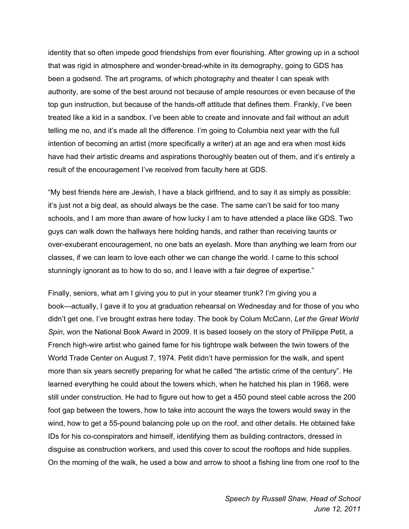identity that so often impede good friendships from ever flourishing. After growing up in a school that was rigid in atmosphere and wonder-bread-white in its demography, going to GDS has been a godsend. The art programs, of which photography and theater I can speak with authority, are some of the best around not because of ample resources or even because of the top gun instruction, but because of the hands-off attitude that defines them. Frankly, I've been treated like a kid in a sandbox. I've been able to create and innovate and fail without an adult telling me no, and it's made all the difference. I'm going to Columbia next year with the full intention of becoming an artist (more specifically a writer) at an age and era when most kids have had their artistic dreams and aspirations thoroughly beaten out of them, and it's entirely a result of the encouragement I've received from faculty here at GDS.

"My best friends here are Jewish, I have a black girlfriend, and to say it as simply as possible: it's just not a big deal, as should always be the case. The same can't be said for too many schools, and I am more than aware of how lucky I am to have attended a place like GDS. Two guys can walk down the hallways here holding hands, and rather than receiving taunts or over-exuberant encouragement, no one bats an eyelash. More than anything we learn from our classes, if we can learn to love each other we can change the world. I came to this school stunningly ignorant as to how to do so, and I leave with a fair degree of expertise."

Finally, seniors, what am I giving you to put in your steamer trunk? I'm giving you a book—actually, I gave it to you at graduation rehearsal on Wednesday and for those of you who didn't get one, I've brought extras here today. The book by Colum McCann, *Let the Great World Spin*, won the National Book Award in 2009. It is based loosely on the story of Philippe Petit, a French high-wire artist who gained fame for his tightrope walk between the twin towers of the World Trade Center on August 7, 1974. Petit didn't have permission for the walk, and spent more than six years secretly preparing for what he called "the artistic crime of the century". He learned everything he could about the towers which, when he hatched his plan in 1968, were still under construction. He had to figure out how to get a 450 pound steel cable across the 200 foot gap between the towers, how to take into account the ways the towers would sway in the wind, how to get a 55-pound balancing pole up on the roof, and other details. He obtained fake IDs for his co-conspirators and himself, identifying them as building contractors, dressed in disguise as construction workers, and used this cover to scout the rooftops and hide supplies. On the morning of the walk, he used a bow and arrow to shoot a fishing line from one roof to the